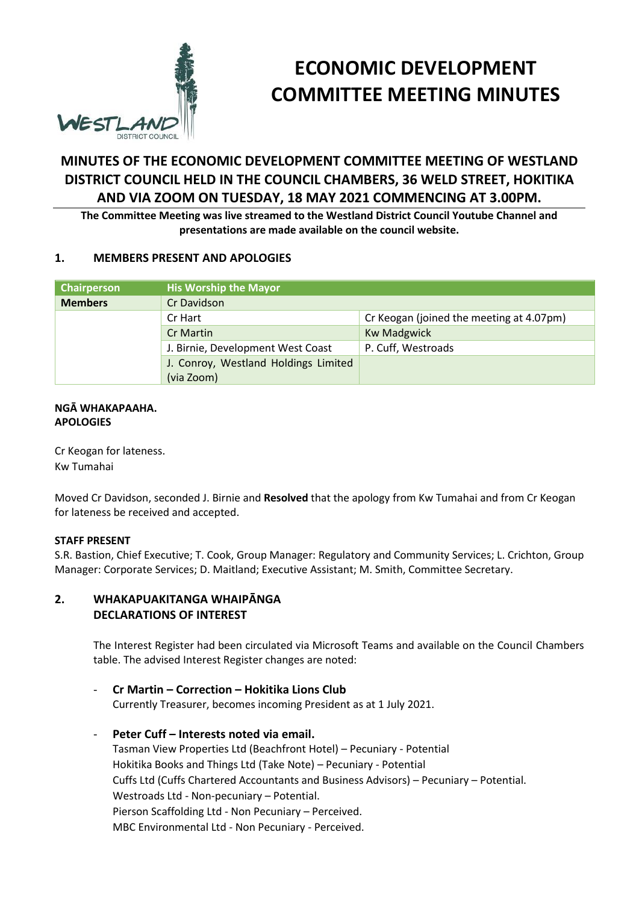

# **ECONOMIC DEVELOPMENT COMMITTEE MEETING MINUTES**

## **MINUTES OF THE ECONOMIC DEVELOPMENT COMMITTEE MEETING OF WESTLAND DISTRICT COUNCIL HELD IN THE COUNCIL CHAMBERS, 36 WELD STREET, HOKITIKA AND VIA ZOOM ON TUESDAY, 18 MAY 2021 COMMENCING AT 3.00PM.**

**The Committee Meeting was live streamed to the Westland District Council Youtube Channel and presentations are made available on the council website.**

#### **1. MEMBERS PRESENT AND APOLOGIES**

| Chairperson    | <b>His Worship the Mayor</b>         |                                          |  |
|----------------|--------------------------------------|------------------------------------------|--|
| <b>Members</b> | Cr Davidson                          |                                          |  |
|                | Cr Hart                              | Cr Keogan (joined the meeting at 4.07pm) |  |
|                | <b>Cr Martin</b>                     | <b>Kw Madgwick</b>                       |  |
|                | J. Birnie, Development West Coast    | P. Cuff, Westroads                       |  |
|                | J. Conroy, Westland Holdings Limited |                                          |  |
|                | (via Zoom)                           |                                          |  |

#### **NGĀ WHAKAPAAHA. APOLOGIES**

Cr Keogan for lateness. Kw Tumahai

Moved Cr Davidson, seconded J. Birnie and **Resolved** that the apology from Kw Tumahai and from Cr Keogan for lateness be received and accepted.

#### **STAFF PRESENT**

S.R. Bastion, Chief Executive; T. Cook, Group Manager: Regulatory and Community Services; L. Crichton, Group Manager: Corporate Services; D. Maitland; Executive Assistant; M. Smith, Committee Secretary.

## **2. WHAKAPUAKITANGA WHAIPĀNGA DECLARATIONS OF INTEREST**

The Interest Register had been circulated via Microsoft Teams and available on the Council Chambers table. The advised Interest Register changes are noted:

#### - **Cr Martin – Correction – Hokitika Lions Club**

Currently Treasurer, becomes incoming President as at 1 July 2021.

## - **Peter Cuff – Interests noted via email.**

Tasman View Properties Ltd (Beachfront Hotel) – Pecuniary - Potential Hokitika Books and Things Ltd (Take Note) – Pecuniary - Potential Cuffs Ltd (Cuffs Chartered Accountants and Business Advisors) – Pecuniary – Potential. Westroads Ltd - Non-pecuniary – Potential. Pierson Scaffolding Ltd - Non Pecuniary – Perceived. MBC Environmental Ltd - Non Pecuniary - Perceived.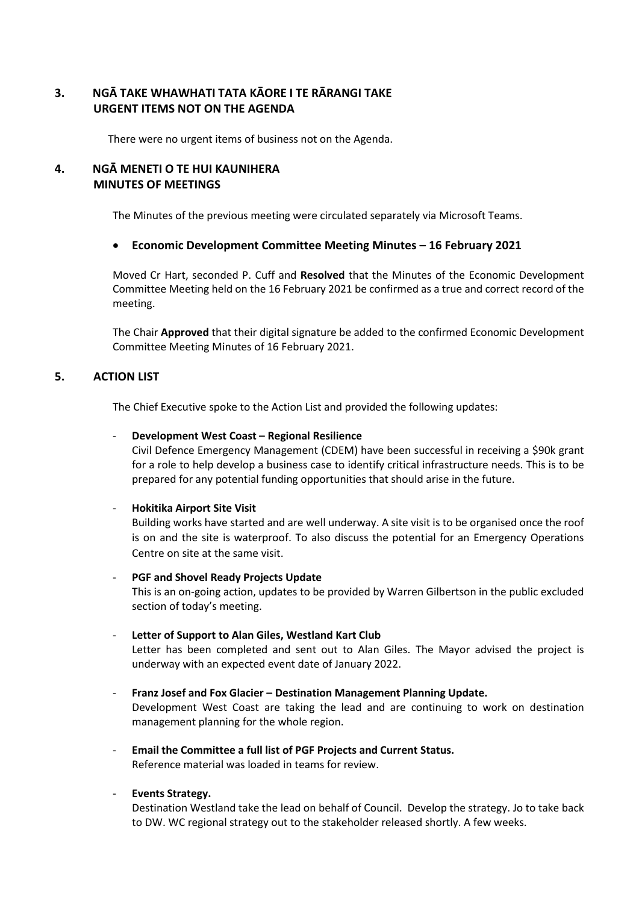## **3. NGĀ TAKE WHAWHATI TATA KĀORE I TE RĀRANGI TAKE URGENT ITEMS NOT ON THE AGENDA**

There were no urgent items of business not on the Agenda.

## **4. NGĀ MENETI O TE HUI KAUNIHERA MINUTES OF MEETINGS**

The Minutes of the previous meeting were circulated separately via Microsoft Teams.

#### **Economic Development Committee Meeting Minutes – 16 February 2021**

Moved Cr Hart, seconded P. Cuff and **Resolved** that the Minutes of the Economic Development Committee Meeting held on the 16 February 2021 be confirmed as a true and correct record of the meeting.

The Chair **Approved** that their digital signature be added to the confirmed Economic Development Committee Meeting Minutes of 16 February 2021.

#### **5. ACTION LIST**

The Chief Executive spoke to the Action List and provided the following updates:

#### - **Development West Coast – Regional Resilience**

Civil Defence Emergency Management (CDEM) have been successful in receiving a \$90k grant for a role to help develop a business case to identify critical infrastructure needs. This is to be prepared for any potential funding opportunities that should arise in the future.

#### - **Hokitika Airport Site Visit**

Building works have started and are well underway. A site visit is to be organised once the roof is on and the site is waterproof. To also discuss the potential for an Emergency Operations Centre on site at the same visit.

#### - **PGF and Shovel Ready Projects Update**

This is an on-going action, updates to be provided by Warren Gilbertson in the public excluded section of today's meeting.

#### Letter of Support to Alan Giles, Westland Kart Club

Letter has been completed and sent out to Alan Giles. The Mayor advised the project is underway with an expected event date of January 2022.

#### - **Franz Josef and Fox Glacier – Destination Management Planning Update.**

Development West Coast are taking the lead and are continuing to work on destination management planning for the whole region.

#### - **Email the Committee a full list of PGF Projects and Current Status.** Reference material was loaded in teams for review.

#### - **Events Strategy.**

Destination Westland take the lead on behalf of Council. Develop the strategy. Jo to take back to DW. WC regional strategy out to the stakeholder released shortly. A few weeks.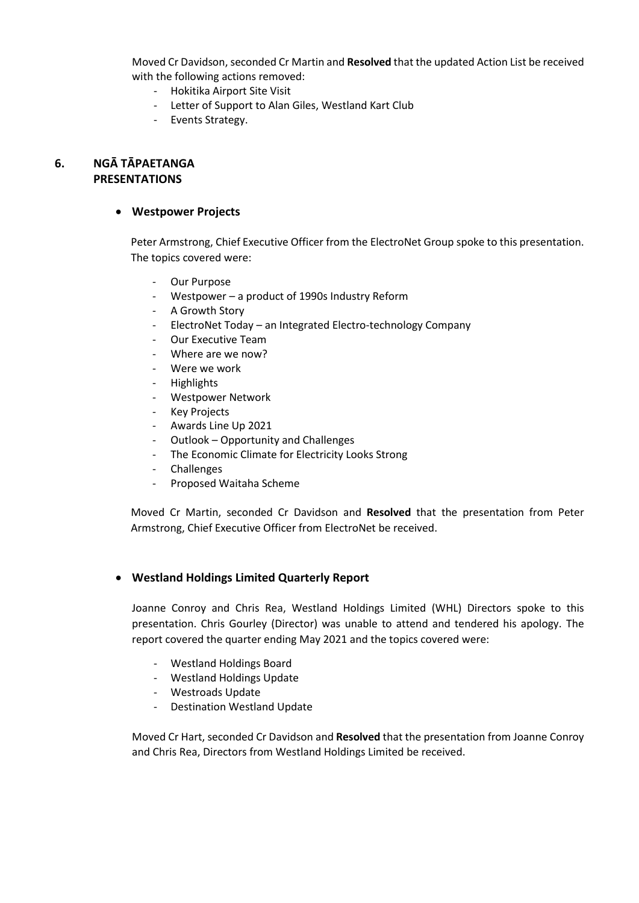Moved Cr Davidson, seconded Cr Martin and **Resolved** that the updated Action List be received with the following actions removed:

- Hokitika Airport Site Visit
- Letter of Support to Alan Giles, Westland Kart Club
- Events Strategy.

## **6. NGĀ TĀPAETANGA PRESENTATIONS**

#### **Westpower Projects**

Peter Armstrong, Chief Executive Officer from the ElectroNet Group spoke to this presentation. The topics covered were:

- Our Purpose
- Westpower a product of 1990s Industry Reform
- A Growth Story
- ElectroNet Today an Integrated Electro-technology Company
- Our Executive Team
- Where are we now?
- Were we work
- Highlights
- Westpower Network
- Key Projects
- Awards Line Up 2021
- Outlook Opportunity and Challenges
- The Economic Climate for Electricity Looks Strong
- Challenges
- Proposed Waitaha Scheme

Moved Cr Martin, seconded Cr Davidson and **Resolved** that the presentation from Peter Armstrong, Chief Executive Officer from ElectroNet be received.

#### **Westland Holdings Limited Quarterly Report**

Joanne Conroy and Chris Rea, Westland Holdings Limited (WHL) Directors spoke to this presentation. Chris Gourley (Director) was unable to attend and tendered his apology. The report covered the quarter ending May 2021 and the topics covered were:

- Westland Holdings Board
- Westland Holdings Update
- Westroads Update
- Destination Westland Update

Moved Cr Hart, seconded Cr Davidson and **Resolved** that the presentation from Joanne Conroy and Chris Rea, Directors from Westland Holdings Limited be received.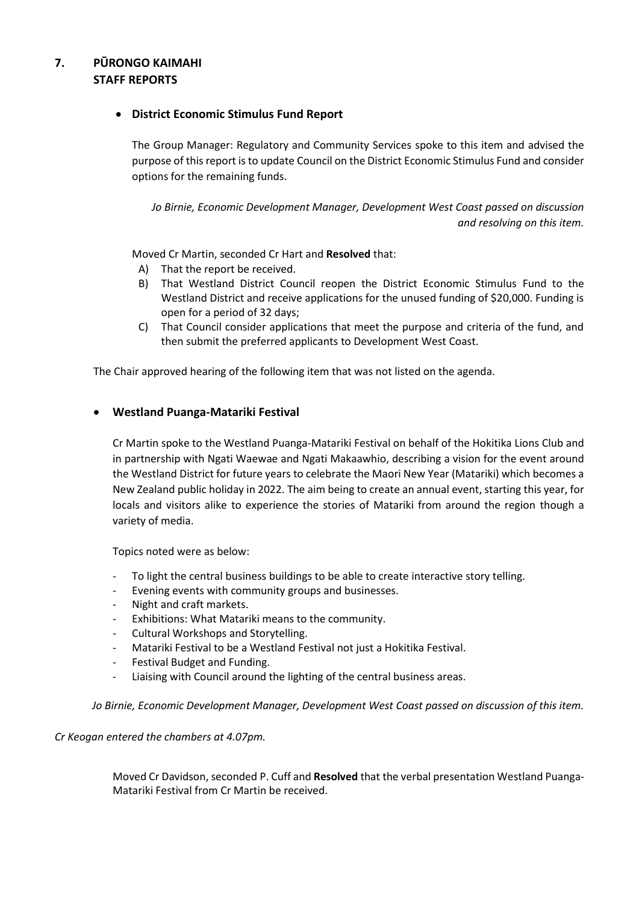## **7. PŪRONGO KAIMAHI STAFF REPORTS**

#### **District Economic Stimulus Fund Report**

The Group Manager: Regulatory and Community Services spoke to this item and advised the purpose of this report is to update Council on the District Economic Stimulus Fund and consider options for the remaining funds.

*Jo Birnie, Economic Development Manager, Development West Coast passed on discussion and resolving on this item.* 

Moved Cr Martin, seconded Cr Hart and **Resolved** that:

- A) That the report be received.
- B) That Westland District Council reopen the District Economic Stimulus Fund to the Westland District and receive applications for the unused funding of \$20,000. Funding is open for a period of 32 days;
- C) That Council consider applications that meet the purpose and criteria of the fund, and then submit the preferred applicants to Development West Coast.

The Chair approved hearing of the following item that was not listed on the agenda.

#### **Westland Puanga-Matariki Festival**

Cr Martin spoke to the Westland Puanga-Matariki Festival on behalf of the Hokitika Lions Club and in partnership with Ngati Waewae and Ngati Makaawhio, describing a vision for the event around the Westland District for future years to celebrate the Maori New Year (Matariki) which becomes a New Zealand public holiday in 2022. The aim being to create an annual event, starting this year, for locals and visitors alike to experience the stories of Matariki from around the region though a variety of media.

Topics noted were as below:

- To light the central business buildings to be able to create interactive story telling.
- Evening events with community groups and businesses.
- Night and craft markets.
- Exhibitions: What Matariki means to the community.
- Cultural Workshops and Storytelling.
- Matariki Festival to be a Westland Festival not just a Hokitika Festival.
- Festival Budget and Funding.
- Liaising with Council around the lighting of the central business areas.

*Jo Birnie, Economic Development Manager, Development West Coast passed on discussion of this item.* 

#### *Cr Keogan entered the chambers at 4.07pm.*

Moved Cr Davidson, seconded P. Cuff and **Resolved** that the verbal presentation Westland Puanga-Matariki Festival from Cr Martin be received.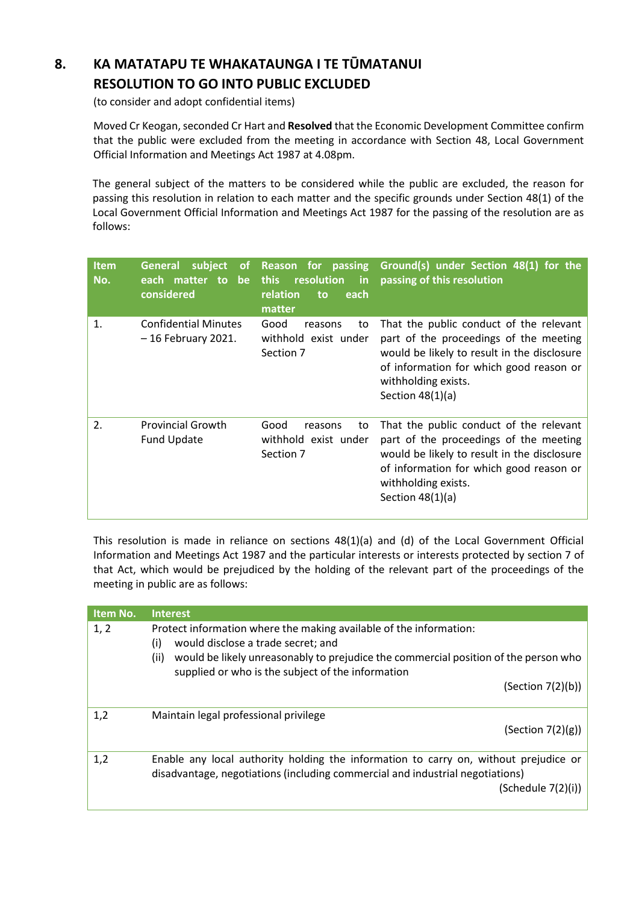# **8. KA MATATAPU TE WHAKATAUNGA I TE TŪMATANUI RESOLUTION TO GO INTO PUBLIC EXCLUDED**

(to consider and adopt confidential items)

Moved Cr Keogan, seconded Cr Hart and Resolved that the Economic Development Committee confirm that the public were excluded from the meeting in accordance with Section 48, Local Government Official Information and Meetings Act 1987 at 4.08pm.

The general subject of the matters to be considered while the public are excluded, the reason for passing this resolution in relation to each matter and the specific grounds under Section 48(1) of the Local Government Official Information and Meetings Act 1987 for the passing of the resolution are as follows:

| <b>Item</b><br>No. | subject<br><b>General</b><br>οf<br>each matter to be<br>considered | Reason for passing<br>resolution<br><b>this</b><br>in<br>relation<br>each<br>to<br>matter | Ground(s) under Section 48(1) for the<br>passing of this resolution                                                                                                                                                      |
|--------------------|--------------------------------------------------------------------|-------------------------------------------------------------------------------------------|--------------------------------------------------------------------------------------------------------------------------------------------------------------------------------------------------------------------------|
| 1.                 | <b>Confidential Minutes</b><br>- 16 February 2021.                 | Good<br>to<br>reasons<br>withhold exist under<br>Section 7                                | That the public conduct of the relevant<br>part of the proceedings of the meeting<br>would be likely to result in the disclosure<br>of information for which good reason or<br>withholding exists.<br>Section $48(1)(a)$ |
| 2.                 | <b>Provincial Growth</b><br>Fund Update                            | Good<br>reasons<br>to<br>withhold exist under<br>Section 7                                | That the public conduct of the relevant<br>part of the proceedings of the meeting<br>would be likely to result in the disclosure<br>of information for which good reason or<br>withholding exists.<br>Section $48(1)(a)$ |

This resolution is made in reliance on sections 48(1)(a) and (d) of the Local Government Official Information and Meetings Act 1987 and the particular interests or interests protected by section 7 of that Act, which would be prejudiced by the holding of the relevant part of the proceedings of the meeting in public are as follows:

| Item No. | <b>Interest</b>                                                                                                                                                                                                                                                     |
|----------|---------------------------------------------------------------------------------------------------------------------------------------------------------------------------------------------------------------------------------------------------------------------|
| 1, 2     | Protect information where the making available of the information:<br>would disclose a trade secret; and<br>(i)<br>(ii)<br>would be likely unreasonably to prejudice the commercial position of the person who<br>supplied or who is the subject of the information |
|          | (Section 7(2)(b))                                                                                                                                                                                                                                                   |
| 1,2      | Maintain legal professional privilege<br>(Section 7(2)(g))                                                                                                                                                                                                          |
| 1,2      | Enable any local authority holding the information to carry on, without prejudice or<br>disadvantage, negotiations (including commercial and industrial negotiations)<br>(Schedule 7(2)(i))                                                                         |